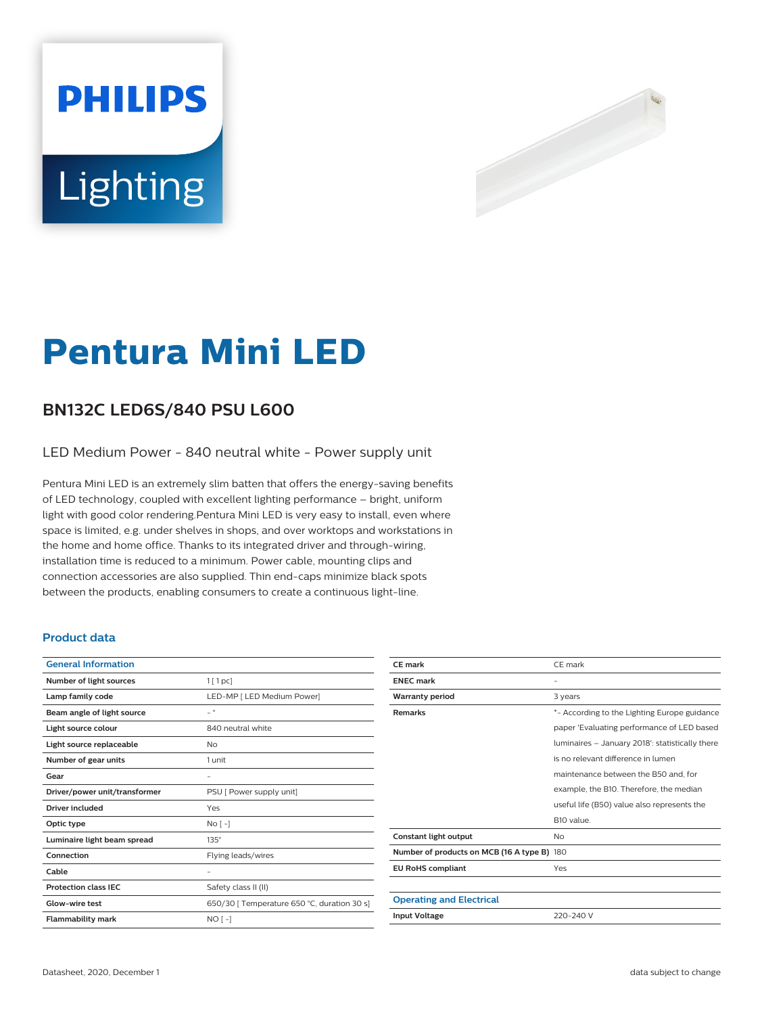# **PHILIPS** Lighting



# **Pentura Mini LED**

### **BN132C LED6S/840 PSU L600**

LED Medium Power - 840 neutral white - Power supply unit

Pentura Mini LED is an extremely slim batten that offers the energy-saving benefits of LED technology, coupled with excellent lighting performance – bright, uniform light with good color rendering.Pentura Mini LED is very easy to install, even where space is limited, e.g. under shelves in shops, and over worktops and workstations in the home and home office. Thanks to its integrated driver and through-wiring, installation time is reduced to a minimum. Power cable, mounting clips and connection accessories are also supplied. Thin end-caps minimize black spots between the products, enabling consumers to create a continuous light-line.

#### **Product data**

| <b>General Information</b>    |                                             |
|-------------------------------|---------------------------------------------|
| Number of light sources       | $1$ [ 1 pc]                                 |
| Lamp family code              | LED-MP [ LED Medium Power]                  |
| Beam angle of light source    | $\overline{\phantom{0}}$                    |
| Light source colour           | 840 neutral white                           |
| Light source replaceable      | No                                          |
| Number of gear units          | 1 unit                                      |
| Gear                          | -                                           |
| Driver/power unit/transformer | PSU [ Power supply unit]                    |
| <b>Driver included</b>        | Yes                                         |
| Optic type                    | $No[-]$                                     |
| Luminaire light beam spread   | $135^\circ$                                 |
| Connection                    | Flying leads/wires                          |
| Cable                         | -                                           |
| <b>Protection class IEC</b>   | Safety class II (II)                        |
| Glow-wire test                | 650/30 [ Temperature 650 °C, duration 30 s] |
| <b>Flammability mark</b>      | $NO[-]$                                     |
|                               |                                             |

| <b>CE</b> mark                              | CE mark                                         |
|---------------------------------------------|-------------------------------------------------|
| <b>ENEC mark</b>                            |                                                 |
| <b>Warranty period</b>                      | 3 years                                         |
| <b>Remarks</b>                              | *- According to the Lighting Europe guidance    |
|                                             | paper 'Evaluating performance of LED based      |
|                                             | luminaires - January 2018': statistically there |
|                                             | is no relevant difference in lumen              |
|                                             | maintenance between the B50 and, for            |
|                                             | example, the B10. Therefore, the median         |
|                                             | useful life (B50) value also represents the     |
|                                             | B <sub>10</sub> value.                          |
| Constant light output                       | <b>No</b>                                       |
| Number of products on MCB (16 A type B) 180 |                                                 |
| <b>EU RoHS compliant</b>                    | Yes                                             |
|                                             |                                                 |
| <b>Operating and Electrical</b>             |                                                 |
| <b>Input Voltage</b>                        | 220-240 V                                       |
|                                             |                                                 |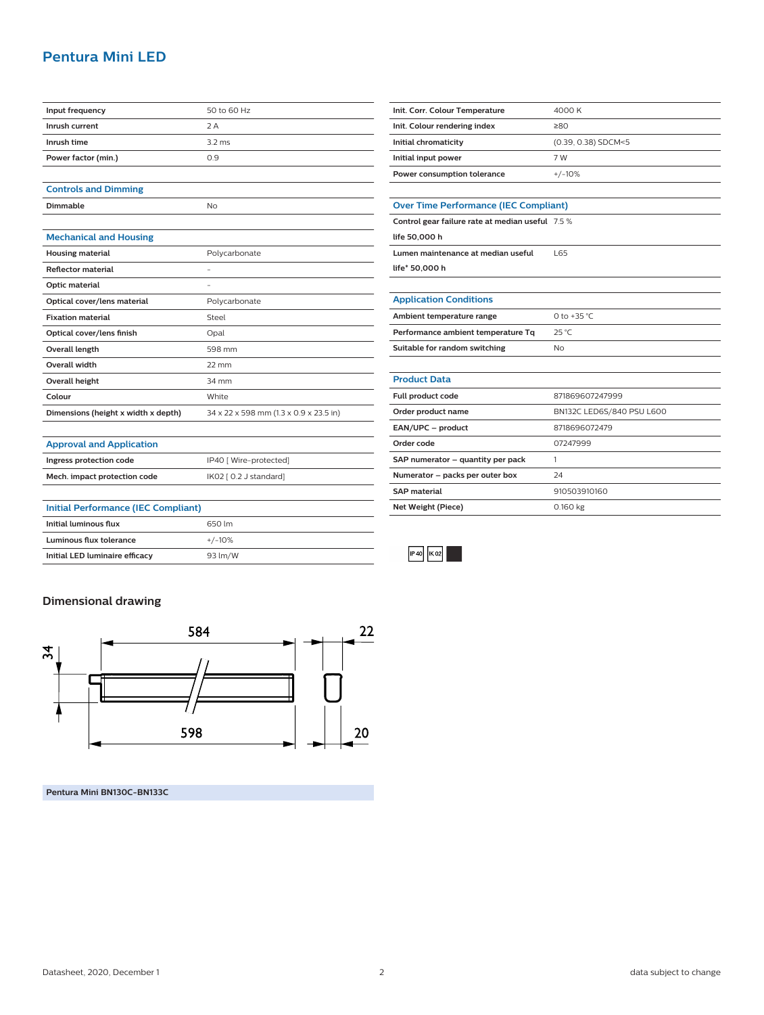#### **Pentura Mini LED**

| Input frequency                     | 50 to 60 Hz                            |
|-------------------------------------|----------------------------------------|
| Inrush current                      | 2A                                     |
| Inrush time                         | $3.2 \text{ ms}$                       |
| Power factor (min.)                 | 0.9                                    |
|                                     |                                        |
| <b>Controls and Dimming</b>         |                                        |
| Dimmable                            | No                                     |
|                                     |                                        |
| <b>Mechanical and Housing</b>       |                                        |
| <b>Housing material</b>             | Polycarbonate                          |
| <b>Reflector material</b>           |                                        |
| Optic material                      | $\overline{\phantom{a}}$               |
| Optical cover/lens material         | Polycarbonate                          |
| <b>Fixation material</b>            | Steel                                  |
| Optical cover/lens finish           | Opal                                   |
| <b>Overall length</b>               | 598 mm                                 |
| Overall width                       | $22 \text{ mm}$                        |
| <b>Overall height</b>               | 34 mm                                  |
| Colour                              | White                                  |
| Dimensions (height x width x depth) | 34 x 22 x 598 mm (1.3 x 0.9 x 23.5 in) |
|                                     |                                        |

| Init. Corr. Colour Temperature | 4000 K              |
|--------------------------------|---------------------|
| Init. Colour rendering index   | 280                 |
| Initial chromaticity           | (0.39, 0.38) SDCM<5 |
| Initial input power            | 7 W                 |
| Power consumption tolerance    | $+/-10%$            |

#### **Over Time Performance (IEC Compliant)**

| Control gear failure rate at median useful 7.5 % |  |
|--------------------------------------------------|--|
| life 50,000 h                                    |  |
| Lumen maintenance at median useful               |  |
| $l$ ifa $*$ 50.000 h                             |  |

**life\* 50,000 h**

L.

| <b>Application Conditions</b>                      |  |
|----------------------------------------------------|--|
| A conflict work the course would come to see a way |  |

| Ambient temperature range          | 0 to +35 °C.              |
|------------------------------------|---------------------------|
| Performance ambient temperature Tq | 25 °C                     |
| Suitable for random switching      | No.                       |
|                                    |                           |
| <b>Product Data</b>                |                           |
| Full product code                  | 871869607247999           |
| Order product name                 | BN132C LED6S/840 PSU L600 |
| EAN/UPC - product                  | 8718696072479             |
| Order code                         | 07247999                  |
| SAP numerator - quantity per pack  |                           |
| Numerator - packs per outer box    | 24                        |
| <b>SAP material</b>                | 910503910160              |
| Net Weight (Piece)                 | 0.160 kg                  |



## **Dimensional drawing**



**Pentura Mini BN130C-BN133C**

**Approval and Application**

**Ingress protection code** IP40 [ Wire-protected] **Mech. impact protection code** IK02 [ 0.2 J standard]

**Initial Performance (IEC Compliant) Initial luminous flux** 650 lm **Luminous flux tolerance**  $+/-10\%$ **Initial LED luminaire efficacy** 93 lm/W